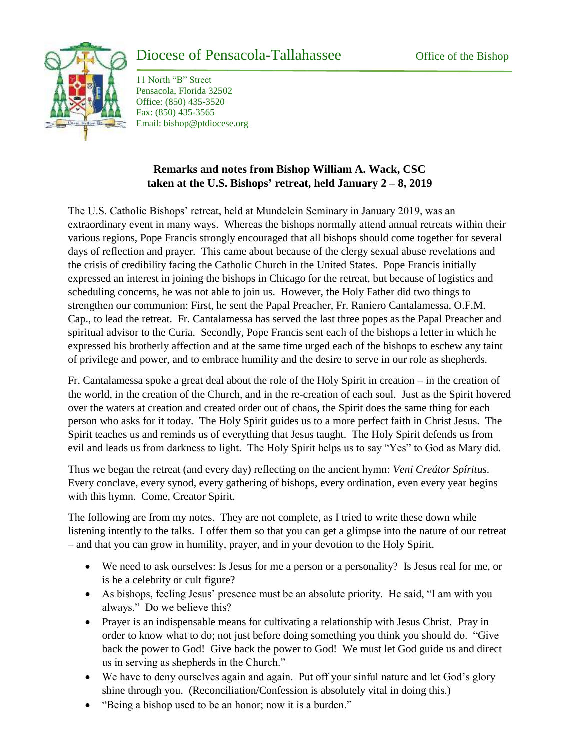

## Diocese of Pensacola-Tallahassee Office of the Bishop

11 North "B" Street Pensacola, Florida 32502 Office: (850) 435-3520 Fax: (850) 435-3565 Email: bishop@ptdiocese.org

## **Remarks and notes from Bishop William A. Wack, CSC taken at the U.S. Bishops' retreat, held January 2 – 8, 2019**

The U.S. Catholic Bishops' retreat, held at Mundelein Seminary in January 2019, was an extraordinary event in many ways. Whereas the bishops normally attend annual retreats within their various regions, Pope Francis strongly encouraged that all bishops should come together for several days of reflection and prayer. This came about because of the clergy sexual abuse revelations and the crisis of credibility facing the Catholic Church in the United States. Pope Francis initially expressed an interest in joining the bishops in Chicago for the retreat, but because of logistics and scheduling concerns, he was not able to join us. However, the Holy Father did two things to strengthen our communion: First, he sent the Papal Preacher, Fr. Raniero Cantalamessa, O.F.M. Cap., to lead the retreat. Fr. Cantalamessa has served the last three popes as the Papal Preacher and spiritual advisor to the Curia. Secondly, Pope Francis sent each of the bishops a letter in which he expressed his brotherly affection and at the same time urged each of the bishops to eschew any taint of privilege and power, and to embrace humility and the desire to serve in our role as shepherds.

Fr. Cantalamessa spoke a great deal about the role of the Holy Spirit in creation – in the creation of the world, in the creation of the Church, and in the re-creation of each soul. Just as the Spirit hovered over the waters at creation and created order out of chaos, the Spirit does the same thing for each person who asks for it today. The Holy Spirit guides us to a more perfect faith in Christ Jesus. The Spirit teaches us and reminds us of everything that Jesus taught. The Holy Spirit defends us from evil and leads us from darkness to light. The Holy Spirit helps us to say "Yes" to God as Mary did.

Thus we began the retreat (and every day) reflecting on the ancient hymn: *Veni Creátor Spíritus.* Every conclave, every synod, every gathering of bishops, every ordination, even every year begins with this hymn. Come, Creator Spirit.

The following are from my notes. They are not complete, as I tried to write these down while listening intently to the talks. I offer them so that you can get a glimpse into the nature of our retreat – and that you can grow in humility, prayer, and in your devotion to the Holy Spirit.

- We need to ask ourselves: Is Jesus for me a person or a personality? Is Jesus real for me, or is he a celebrity or cult figure?
- As bishops, feeling Jesus' presence must be an absolute priority. He said, "I am with you always." Do we believe this?
- Prayer is an indispensable means for cultivating a relationship with Jesus Christ. Pray in order to know what to do; not just before doing something you think you should do. "Give back the power to God! Give back the power to God! We must let God guide us and direct us in serving as shepherds in the Church."
- We have to deny ourselves again and again. Put off your sinful nature and let God's glory shine through you. (Reconciliation/Confession is absolutely vital in doing this.)
- "Being a bishop used to be an honor; now it is a burden."